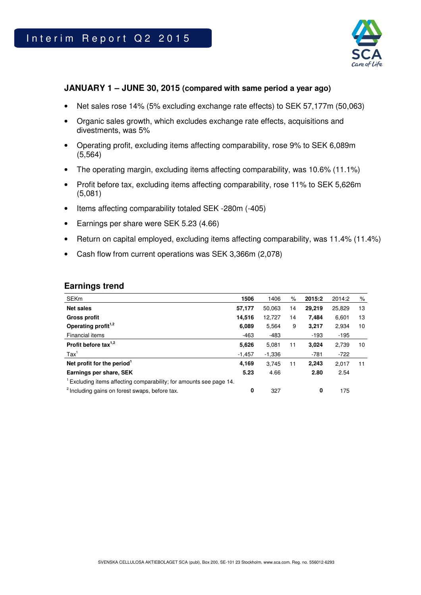

## **JANUARY 1 – JUNE 30, 2015 (compared with same period a year ago)**

- Net sales rose 14% (5% excluding exchange rate effects) to SEK 57,177m (50,063)
- Organic sales growth, which excludes exchange rate effects, acquisitions and divestments, was 5%
- Operating profit, excluding items affecting comparability, rose 9% to SEK 6,089m (5,564)
- The operating margin, excluding items affecting comparability, was 10.6% (11.1%)
- Profit before tax, excluding items affecting comparability, rose 11% to SEK 5,626m (5,081)
- Items affecting comparability totaled SEK -280m (-405)
- Earnings per share were SEK 5.23 (4.66)
- Return on capital employed, excluding items affecting comparability, was 11.4% (11.4%)
- Cash flow from current operations was SEK 3,366m (2,078)

### **Earnings trend**

| <b>SEKm</b>                                                                    | 1506     | 1406     | $\%$ | 2015:2 | 2014:2 | %  |
|--------------------------------------------------------------------------------|----------|----------|------|--------|--------|----|
| <b>Net sales</b>                                                               | 57,177   | 50.063   | 14   | 29.219 | 25,829 | 13 |
| <b>Gross profit</b>                                                            | 14,516   | 12.727   | 14   | 7.484  | 6,601  | 13 |
| Operating profit <sup>1,2</sup>                                                | 6,089    | 5.564    | 9    | 3,217  | 2.934  | 10 |
| Financial items                                                                | $-463$   | $-483$   |      | $-193$ | $-195$ |    |
| Profit before tax $1,2$                                                        | 5,626    | 5,081    | 11   | 3,024  | 2,739  | 10 |
| $\text{Tax}^1$                                                                 | $-1,457$ | $-1,336$ |      | $-781$ | $-722$ |    |
| Net profit for the period <sup>1</sup>                                         | 4.169    | 3.745    | 11   | 2.243  | 2.017  | 11 |
| Earnings per share, SEK                                                        | 5.23     | 4.66     |      | 2.80   | 2.54   |    |
| <sup>1</sup> Excluding items affecting comparability; for amounts see page 14. |          |          |      |        |        |    |
| <sup>2</sup> Including gains on forest swaps, before tax.                      | 0        | 327      |      | 0      | 175    |    |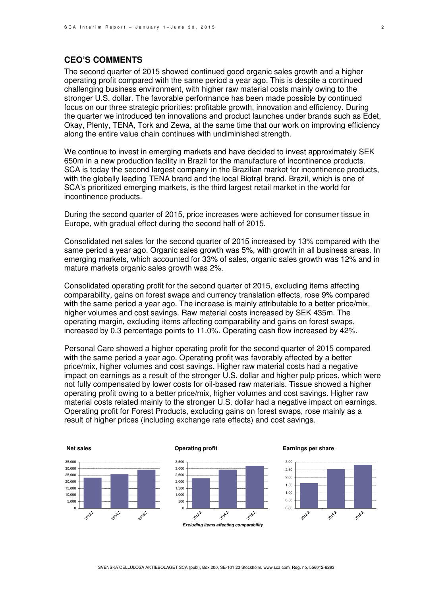## **CEO'S COMMENTS**

The second quarter of 2015 showed continued good organic sales growth and a higher operating profit compared with the same period a year ago. This is despite a continued challenging business environment, with higher raw material costs mainly owing to the stronger U.S. dollar. The favorable performance has been made possible by continued focus on our three strategic priorities: profitable growth, innovation and efficiency. During the quarter we introduced ten innovations and product launches under brands such as Edet, Okay, Plenty, TENA, Tork and Zewa, at the same time that our work on improving efficiency along the entire value chain continues with undiminished strength.

We continue to invest in emerging markets and have decided to invest approximately SEK 650m in a new production facility in Brazil for the manufacture of incontinence products. SCA is today the second largest company in the Brazilian market for incontinence products, with the globally leading TENA brand and the local Biofral brand. Brazil, which is one of SCA's prioritized emerging markets, is the third largest retail market in the world for incontinence products.

During the second quarter of 2015, price increases were achieved for consumer tissue in Europe, with gradual effect during the second half of 2015.

Consolidated net sales for the second quarter of 2015 increased by 13% compared with the same period a year ago. Organic sales growth was 5%, with growth in all business areas. In emerging markets, which accounted for 33% of sales, organic sales growth was 12% and in mature markets organic sales growth was 2%.

Consolidated operating profit for the second quarter of 2015, excluding items affecting comparability, gains on forest swaps and currency translation effects, rose 9% compared with the same period a year ago. The increase is mainly attributable to a better price/mix, higher volumes and cost savings. Raw material costs increased by SEK 435m. The operating margin, excluding items affecting comparability and gains on forest swaps, increased by 0.3 percentage points to 11.0%. Operating cash flow increased by 42%.

Personal Care showed a higher operating profit for the second quarter of 2015 compared with the same period a year ago. Operating profit was favorably affected by a better price/mix, higher volumes and cost savings. Higher raw material costs had a negative impact on earnings as a result of the stronger U.S. dollar and higher pulp prices, which were not fully compensated by lower costs for oil-based raw materials. Tissue showed a higher operating profit owing to a better price/mix, higher volumes and cost savings. Higher raw material costs related mainly to the stronger U.S. dollar had a negative impact on earnings. Operating profit for Forest Products, excluding gains on forest swaps, rose mainly as a result of higher prices (including exchange rate effects) and cost savings.

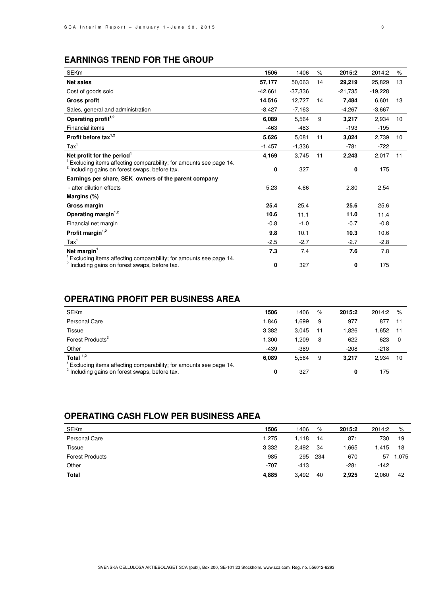## **EARNINGS TREND FOR THE GROUP**

| <b>SEKm</b>                                                                                                                    | 1506      | 1406      | $\%$ | 2015:2    | 2014:2    | $\%$ |
|--------------------------------------------------------------------------------------------------------------------------------|-----------|-----------|------|-----------|-----------|------|
| <b>Net sales</b>                                                                                                               | 57,177    | 50,063    | 14   | 29,219    | 25,829    | 13   |
| Cost of goods sold                                                                                                             | $-42,661$ | $-37,336$ |      | $-21,735$ | $-19,228$ |      |
| <b>Gross profit</b>                                                                                                            | 14,516    | 12,727    | 14   | 7,484     | 6,601     | 13   |
| Sales, general and administration                                                                                              | $-8,427$  | $-7,163$  |      | $-4,267$  | $-3,667$  |      |
| Operating profit <sup>1,2</sup>                                                                                                | 6,089     | 5,564     | 9    | 3,217     | 2,934     | 10   |
| Financial items                                                                                                                | $-463$    | $-483$    |      | $-193$    | $-195$    |      |
| Profit before tax <sup>1,2</sup>                                                                                               | 5,626     | 5,081     | 11   | 3,024     | 2,739     | 10   |
| $\text{Tax}^1$                                                                                                                 | $-1,457$  | $-1,336$  |      | $-781$    | $-722$    |      |
| Net profit for the period <sup>1</sup>                                                                                         | 4,169     | 3,745     | 11   | 2,243     | 2,017     | 11   |
| Excluding items affecting comparability; for amounts see page 14.<br><sup>2</sup> Including gains on forest swaps, before tax. | 0         | 327       |      | 0         | 175       |      |
| Earnings per share, SEK owners of the parent company                                                                           |           |           |      |           |           |      |
| - after dilution effects                                                                                                       | 5.23      | 4.66      |      | 2.80      | 2.54      |      |
| Margins (%)                                                                                                                    |           |           |      |           |           |      |
| Gross margin                                                                                                                   | 25.4      | 25.4      |      | 25.6      | 25.6      |      |
| Operating margin <sup>1,2</sup>                                                                                                | 10.6      | 11.1      |      | 11.0      | 11.4      |      |
| Financial net margin                                                                                                           | $-0.8$    | $-1.0$    |      | $-0.7$    | $-0.8$    |      |
| Profit margin $1,2$                                                                                                            | 9.8       | 10.1      |      | 10.3      | 10.6      |      |
| $\text{Tax}^1$                                                                                                                 | $-2.5$    | $-2.7$    |      | $-2.7$    | $-2.8$    |      |
| Net margin <sup>1</sup>                                                                                                        | 7.3       | 7.4       |      | 7.6       | 7.8       |      |
| Excluding items affecting comparability; for amounts see page 14.<br><sup>2</sup> Including gains on forest swaps, before tax. | 0         | 327       |      | 0         | 175       |      |

## **OPERATING PROFIT PER BUSINESS AREA**

| <b>SEKm</b>                                                                                                                    | 1506   | 1406        | %  | 2015:2 | 2014:2 | %   |
|--------------------------------------------------------------------------------------------------------------------------------|--------|-------------|----|--------|--------|-----|
| <b>Personal Care</b>                                                                                                           | 1.846  | .699        | 9  | 977    | 877    |     |
| Tissue                                                                                                                         | 3,382  | 3.045       | 11 | 1,826  | .652   | -11 |
| Forest Products <sup>2</sup>                                                                                                   | 1.300  | <b>209.</b> | 8  | 622    | 623    | - 0 |
| Other                                                                                                                          | $-439$ | $-389$      |    | $-208$ | $-218$ |     |
| Total $1,2$                                                                                                                    | 6.089  | 5,564       | 9  | 3.217  | 2,934  | 10  |
| Excluding items affecting comparability; for amounts see page 14.<br><sup>2</sup> Including gains on forest swaps, before tax. | 0      | 327         |    | 0      | 175    |     |

## **OPERATING CASH FLOW PER BUSINESS AREA**

| <b>SEKm</b>            | 1506   | 1406   | %    | 2015:2 | 2014:2 | %     |
|------------------------|--------|--------|------|--------|--------|-------|
| Personal Care          | 1.275  | 1,118  | 14   | 871    | 730    | 19    |
| Tissue                 | 3,332  | 2,492  | -34  | .665   | .415   | 18    |
| <b>Forest Products</b> | 985    | 295    | -234 | 670    | 57     | 1,075 |
| Other                  | $-707$ | $-413$ |      | $-281$ | $-142$ |       |
| <b>Total</b>           | 4,885  | 3,492  | 40   | 2,925  | 2,060  | 42    |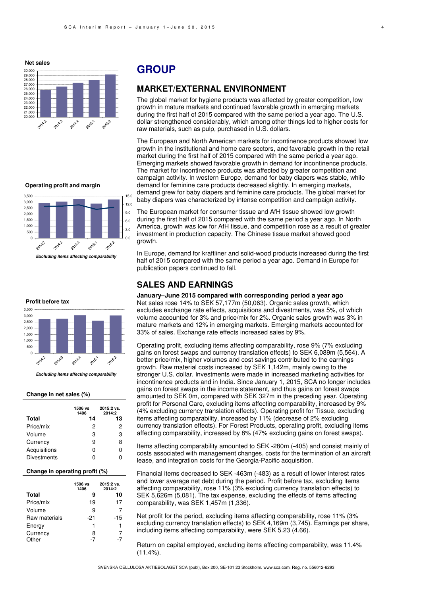**Net sales**



#### **Operating profit and margin**



#### **Profit before tax**



**Excluding items affecting comparability** 

#### **Change in net sales (%)**

|                    | 1506 vs<br>1406 | 2015:2 vs.<br>2014:2 |
|--------------------|-----------------|----------------------|
| Total              | 14              | 13                   |
| Price/mix          | 2               | 2                    |
| Volume             | З               | 3                    |
| Currency           | 9               | 8                    |
| Acquisitions       | ŋ               | n                    |
| <b>Divestments</b> | Π               |                      |

#### **Change in operating profit (%)**

|               | 1506 vs<br>1406 | 2015:2 vs.<br>2014:2 |
|---------------|-----------------|----------------------|
| <b>Total</b>  | 9               | 10                   |
| Price/mix     | 19              | 17                   |
| Volume        | 9               | 7                    |
| Raw materials | -21             | -15                  |
| Energy        | 1               | 1                    |
| Currency      | 8               | 7                    |
| Other         | -7              | -7                   |

## **GROUP**

### **MARKET/EXTERNAL ENVIRONMENT**

The global market for hygiene products was affected by greater competition, low growth in mature markets and continued favorable growth in emerging markets during the first half of 2015 compared with the same period a year ago. The U.S. dollar strengthened considerably, which among other things led to higher costs for raw materials, such as pulp, purchased in U.S. dollars.

The European and North American markets for incontinence products showed low growth in the institutional and home care sectors, and favorable growth in the retail market during the first half of 2015 compared with the same period a year ago. Emerging markets showed favorable growth in demand for incontinence products. The market for incontinence products was affected by greater competition and campaign activity. In western Europe, demand for baby diapers was stable, while demand for feminine care products decreased slightly. In emerging markets, demand grew for baby diapers and feminine care products. The global market for baby diapers was characterized by intense competition and campaign activity.

The European market for consumer tissue and AfH tissue showed low growth during the first half of 2015 compared with the same period a year ago. In North America, growth was low for AfH tissue, and competition rose as a result of greater investment in production capacity. The Chinese tissue market showed good growth.

In Europe, demand for kraftliner and solid-wood products increased during the first half of 2015 compared with the same period a year ago. Demand in Europe for publication papers continued to fall.

### **SALES AND EARNINGS**

**January–June 2015 compared with corresponding period a year ago**  Net sales rose 14% to SEK 57,177m (50,063). Organic sales growth, which excludes exchange rate effects, acquisitions and divestments, was 5%, of which volume accounted for 3% and price/mix for 2%. Organic sales growth was 3% in mature markets and 12% in emerging markets. Emerging markets accounted for 33% of sales. Exchange rate effects increased sales by 9%.

Operating profit, excluding items affecting comparability, rose 9% (7% excluding gains on forest swaps and currency translation effects) to SEK 6,089m (5,564). A better price/mix, higher volumes and cost savings contributed to the earnings growth. Raw material costs increased by SEK 1,142m, mainly owing to the stronger U.S. dollar. Investments were made in increased marketing activities for incontinence products and in India. Since January 1, 2015, SCA no longer includes gains on forest swaps in the income statement, and thus gains on forest swaps amounted to SEK 0m, compared with SEK 327m in the preceding year. Operating profit for Personal Care, excluding items affecting comparability, increased by 9% (4% excluding currency translation effects). Operating profit for Tissue, excluding items affecting comparability, increased by 11% (decrease of 2% excluding currency translation effects). For Forest Products, operating profit, excluding items affecting comparability, increased by 8% (47% excluding gains on forest swaps).

Items affecting comparability amounted to SEK -280m (-405) and consist mainly of costs associated with management changes, costs for the termination of an aircraft lease, and integration costs for the Georgia-Pacific acquisition.

Financial items decreased to SEK -463m (-483) as a result of lower interest rates and lower average net debt during the period. Profit before tax, excluding items affecting comparability, rose 11% (3% excluding currency translation effects) to SEK 5,626m (5,081). The tax expense, excluding the effects of items affecting comparability, was SEK 1,457m (1,336).

Net profit for the period, excluding items affecting comparability, rose 11% (3% excluding currency translation effects) to SEK 4,169m (3,745). Earnings per share, including items affecting comparability, were SEK 5.23 (4.66).

Return on capital employed, excluding items affecting comparability, was 11.4% (11.4%).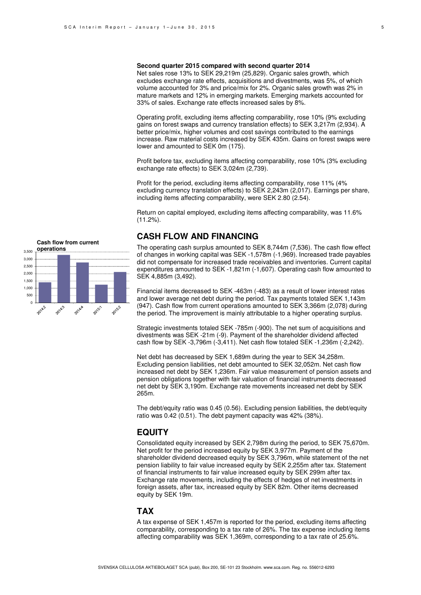#### **Second quarter 2015 compared with second quarter 2014**

Net sales rose 13% to SEK 29,219m (25,829). Organic sales growth, which excludes exchange rate effects, acquisitions and divestments, was 5%, of which volume accounted for 3% and price/mix for 2%. Organic sales growth was 2% in mature markets and 12% in emerging markets. Emerging markets accounted for 33% of sales. Exchange rate effects increased sales by 8%.

Operating profit, excluding items affecting comparability, rose 10% (9% excluding gains on forest swaps and currency translation effects) to SEK 3,217m (2,934). A better price/mix, higher volumes and cost savings contributed to the earnings increase. Raw material costs increased by SEK 435m. Gains on forest swaps were lower and amounted to SEK 0m (175).

Profit before tax, excluding items affecting comparability, rose 10% (3% excluding exchange rate effects) to SEK 3,024m (2,739).

Profit for the period, excluding items affecting comparability, rose 11% (4% excluding currency translation effects) to SEK 2,243m (2,017). Earnings per share, including items affecting comparability, were SEK 2.80 (2.54).

Return on capital employed, excluding items affecting comparability, was 11.6% (11.2%).

### **CASH FLOW AND FINANCING**

The operating cash surplus amounted to SEK 8,744m (7,536). The cash flow effect of changes in working capital was SEK -1,578m (-1,969). Increased trade payables did not compensate for increased trade receivables and inventories. Current capital expenditures amounted to SEK -1,821m (-1,607). Operating cash flow amounted to SEK 4,885m (3,492).

Financial items decreased to SEK -463m (-483) as a result of lower interest rates and lower average net debt during the period. Tax payments totaled SEK 1,143m (947). Cash flow from current operations amounted to SEK 3,366m (2,078) during the period. The improvement is mainly attributable to a higher operating surplus.

Strategic investments totaled SEK -785m (-900). The net sum of acquisitions and divestments was SEK -21m (-9). Payment of the shareholder dividend affected cash flow by SEK -3,796m (-3,411). Net cash flow totaled SEK -1,236m (-2,242).

Net debt has decreased by SEK 1,689m during the year to SEK 34,258m. Excluding pension liabilities, net debt amounted to SEK 32,052m. Net cash flow increased net debt by SEK 1,236m. Fair value measurement of pension assets and pension obligations together with fair valuation of financial instruments decreased net debt by SEK 3,190m. Exchange rate movements increased net debt by SEK 265m.

The debt/equity ratio was 0.45 (0.56). Excluding pension liabilities, the debt/equity ratio was 0.42 (0.51). The debt payment capacity was 42% (38%).

### **EQUITY**

Consolidated equity increased by SEK 2,798m during the period, to SEK 75,670m. Net profit for the period increased equity by SEK 3,977m. Payment of the shareholder dividend decreased equity by SEK 3,796m, while statement of the net pension liability to fair value increased equity by SEK 2,255m after tax. Statement of financial instruments to fair value increased equity by SEK 299m after tax. Exchange rate movements, including the effects of hedges of net investments in foreign assets, after tax, increased equity by SEK 82m. Other items decreased equity by SEK 19m.

### **TAX**

A tax expense of SEK 1,457m is reported for the period, excluding items affecting comparability, corresponding to a tax rate of 26%. The tax expense including items affecting comparability was SEK 1,369m, corresponding to a tax rate of 25.6%.

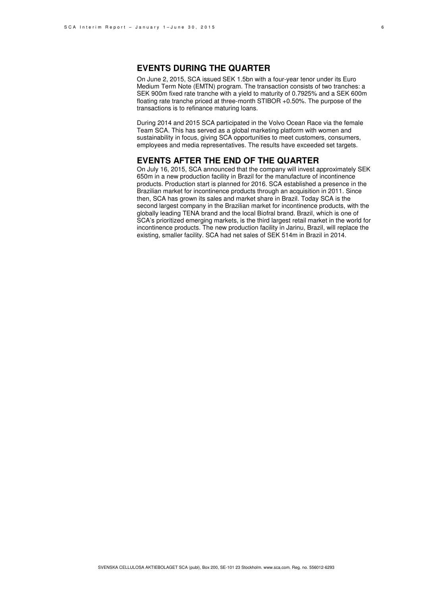### **EVENTS DURING THE QUARTER**

On June 2, 2015, SCA issued SEK 1.5bn with a four-year tenor under its Euro Medium Term Note (EMTN) program. The transaction consists of two tranches: a SEK 900m fixed rate tranche with a yield to maturity of 0.7925% and a SEK 600m floating rate tranche priced at three-month STIBOR +0.50%. The purpose of the transactions is to refinance maturing loans.

During 2014 and 2015 SCA participated in the Volvo Ocean Race via the female Team SCA. This has served as a global marketing platform with women and sustainability in focus, giving SCA opportunities to meet customers, consumers, employees and media representatives. The results have exceeded set targets.

### **EVENTS AFTER THE END OF THE QUARTER**

On July 16, 2015, SCA announced that the company will invest approximately SEK 650m in a new production facility in Brazil for the manufacture of incontinence products. Production start is planned for 2016. SCA established a presence in the Brazilian market for incontinence products through an acquisition in 2011. Since then, SCA has grown its sales and market share in Brazil. Today SCA is the second largest company in the Brazilian market for incontinence products, with the globally leading TENA brand and the local Biofral brand. Brazil, which is one of SCA's prioritized emerging markets, is the third largest retail market in the world for incontinence products. The new production facility in Jarinu, Brazil, will replace the existing, smaller facility. SCA had net sales of SEK 514m in Brazil in 2014.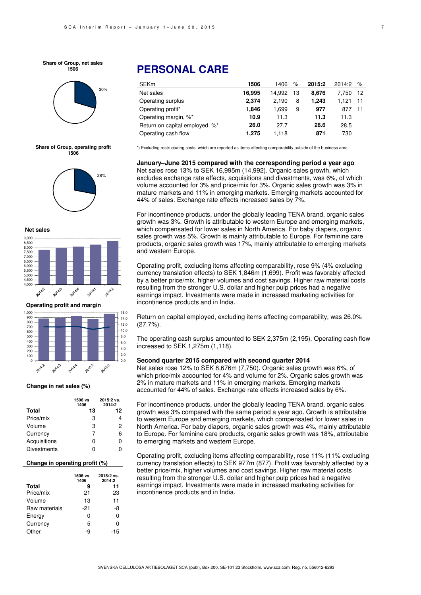**Share of Group, net sales 1506**



#### **Share of Group, operating profit 1506**



**Net sales**



**Operating profit and margin**



#### **Change in net sales (%)**

|                    | 1506 vs<br>1406 | 2015:2 vs.<br>2014:2 |
|--------------------|-----------------|----------------------|
| Total              | 13              | 12                   |
| Price/mix          | 3               |                      |
| Volume             | 3               | 2                    |
| Currency           | 7               | 6                    |
| Acquisitions       | 0               | 0                    |
| <b>Divestments</b> | ი               |                      |

#### **Change in operating profit (%)**

|               | 1506 vs<br>1406 | 2015:2 vs.<br>2014:2 |
|---------------|-----------------|----------------------|
| <b>Total</b>  | 9               | 11                   |
| Price/mix     | 21              | 23                   |
| Volume        | 13              | 11                   |
| Raw materials | -21             | -8                   |
| Energy        | ი               | 0                    |
| Currency      | 5               | ი                    |
| Other         | -9              | -15                  |

# **PERSONAL CARE**

| <b>SEKm</b>                    | 1506   | 1406   | $\%$ | 2015:2 | 2014:2 | $\%$  |
|--------------------------------|--------|--------|------|--------|--------|-------|
| Net sales                      | 16,995 | 14.992 | 13   | 8.676  | 7.750  | - 12  |
| Operating surplus              | 2.374  | 2.190  | 8    | 1.243  | 1.121  | $-11$ |
| Operating profit*              | 1,846  | 1.699  | 9    | 977    | 877    | 11    |
| Operating margin, %*           | 10.9   | 11.3   |      | 11.3   | 11.3   |       |
| Return on capital employed, %* | 26.0   | 27.7   |      | 28.6   | 28.5   |       |
| Operating cash flow            | 1.275  | 1.118  |      | 871    | 730    |       |

\*) Excluding restructuring costs, which are reported as items affecting comparability outside of the business area.

**January–June 2015 compared with the corresponding period a year ago**  Net sales rose 13% to SEK 16,995m (14,992). Organic sales growth, which excludes exchange rate effects, acquisitions and divestments, was 6%, of which volume accounted for 3% and price/mix for 3%. Organic sales growth was 3% in mature markets and 11% in emerging markets. Emerging markets accounted for 44% of sales. Exchange rate effects increased sales by 7%.

For incontinence products, under the globally leading TENA brand, organic sales growth was 3%. Growth is attributable to western Europe and emerging markets, which compensated for lower sales in North America. For baby diapers, organic sales growth was 5%. Growth is mainly attributable to Europe. For feminine care products, organic sales growth was 17%, mainly attributable to emerging markets and western Europe.

Operating profit, excluding items affecting comparability, rose 9% (4% excluding currency translation effects) to SEK 1,846m (1,699). Profit was favorably affected by a better price/mix, higher volumes and cost savings. Higher raw material costs resulting from the stronger U.S. dollar and higher pulp prices had a negative earnings impact. Investments were made in increased marketing activities for incontinence products and in India.

Return on capital employed, excluding items affecting comparability, was 26.0%  $(27.7\%)$ .

The operating cash surplus amounted to SEK 2,375m (2,195). Operating cash flow increased to SEK 1,275m (1,118).

#### **Second quarter 2015 compared with second quarter 2014**

Net sales rose 12% to SEK 8,676m (7,750). Organic sales growth was 6%, of which price/mix accounted for 4% and volume for 2%. Organic sales growth was 2% in mature markets and 11% in emerging markets. Emerging markets accounted for 44% of sales. Exchange rate effects increased sales by 6%.

For incontinence products, under the globally leading TENA brand, organic sales growth was 3% compared with the same period a year ago. Growth is attributable to western Europe and emerging markets, which compensated for lower sales in North America. For baby diapers, organic sales growth was 4%, mainly attributable to Europe. For feminine care products, organic sales growth was 18%, attributable to emerging markets and western Europe.

Operating profit, excluding items affecting comparability, rose 11% (11% excluding currency translation effects) to SEK 977m (877). Profit was favorably affected by a better price/mix, higher volumes and cost savings. Higher raw material costs resulting from the stronger U.S. dollar and higher pulp prices had a negative earnings impact. Investments were made in increased marketing activities for incontinence products and in India.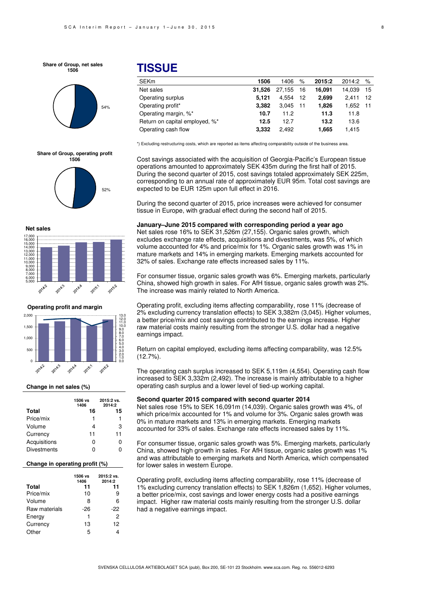**Share of Group, net sales 1506**







**Net sales**



**Operating profit and margin**



#### **Change in net sales (%)**

|                    | 1506 vs<br>1406 | 2015:2 vs.<br>2014:2 |
|--------------------|-----------------|----------------------|
| <b>Total</b>       | 16              | 15                   |
| Price/mix          | 1               | 1                    |
| Volume             | Δ               | 3                    |
| Currency           | 11              | 11                   |
| Acquisitions       | 0               |                      |
| <b>Divestments</b> | n               |                      |

#### **Change in operating profit (%)**

|               | 1506 vs<br>1406 | 2015:2 vs.<br>2014:2 |
|---------------|-----------------|----------------------|
| <b>Total</b>  | 11              | 11                   |
| Price/mix     | 10              | 9                    |
| Volume        | 8               | 6                    |
| Raw materials | -26             | -22                  |
| Energy        | 1               | 2                    |
| Currency      | 13              | 12                   |
| Other         | 5               |                      |

## **TISSUE**

| <b>SEKm</b>                    | 1506   | 1406   | $\%$ | 2015:2 | 2014:2 % |    |
|--------------------------------|--------|--------|------|--------|----------|----|
| Net sales                      | 31.526 | 27.155 | 16   | 16.091 | 14.039   | 15 |
| Operating surplus              | 5.121  | 4.554  | 12   | 2.699  | 2.411    | 12 |
| Operating profit*              | 3.382  | 3.045  | 11   | 1.826  | 1.652 11 |    |
| Operating margin, %*           | 10.7   | 11.2   |      | 11.3   | 11.8     |    |
| Return on capital employed, %* | 12.5   | 12.7   |      | 13.2   | 13.6     |    |
| Operating cash flow            | 3,332  | 2.492  |      | 1,665  | 1,415    |    |

\*) Excluding restructuring costs, which are reported as items affecting comparability outside of the business area.

Cost savings associated with the acquisition of Georgia-Pacific's European tissue operations amounted to approximately SEK 435m during the first half of 2015. During the second quarter of 2015, cost savings totaled approximately SEK 225m, corresponding to an annual rate of approximately EUR 95m. Total cost savings are expected to be EUR 125m upon full effect in 2016.

During the second quarter of 2015, price increases were achieved for consumer tissue in Europe, with gradual effect during the second half of 2015.

#### **January–June 2015 compared with corresponding period a year ago**

Net sales rose 16% to SEK 31,526m (27,155). Organic sales growth, which excludes exchange rate effects, acquisitions and divestments, was 5%, of which volume accounted for 4% and price/mix for 1%. Organic sales growth was 1% in mature markets and 14% in emerging markets. Emerging markets accounted for 32% of sales. Exchange rate effects increased sales by 11%.

For consumer tissue, organic sales growth was 6%. Emerging markets, particularly China, showed high growth in sales. For AfH tissue, organic sales growth was 2%. The increase was mainly related to North America.

Operating profit, excluding items affecting comparability, rose 11% (decrease of 2% excluding currency translation effects) to SEK 3,382m (3,045). Higher volumes, a better price/mix and cost savings contributed to the earnings increase. Higher raw material costs mainly resulting from the stronger U.S. dollar had a negative earnings impact.

Return on capital employed, excluding items affecting comparability, was 12.5%  $(12.7\%)$ .

The operating cash surplus increased to SEK 5,119m (4,554). Operating cash flow increased to SEK 3,332m (2,492). The increase is mainly attributable to a higher operating cash surplus and a lower level of tied-up working capital.

#### **Second quarter 2015 compared with second quarter 2014**

Net sales rose 15% to SEK 16,091m (14,039). Organic sales growth was 4%, of which price/mix accounted for 1% and volume for 3%. Organic sales growth was 0% in mature markets and 13% in emerging markets. Emerging markets accounted for 33% of sales. Exchange rate effects increased sales by 11%.

For consumer tissue, organic sales growth was 5%. Emerging markets, particularly China, showed high growth in sales. For AfH tissue, organic sales growth was 1% and was attributable to emerging markets and North America, which compensated for lower sales in western Europe.

Operating profit, excluding items affecting comparability, rose 11% (decrease of 1% excluding currency translation effects) to SEK 1,826m (1,652). Higher volumes, a better price/mix, cost savings and lower energy costs had a positive earnings impact. Higher raw material costs mainly resulting from the stronger U.S. dollar had a negative earnings impact.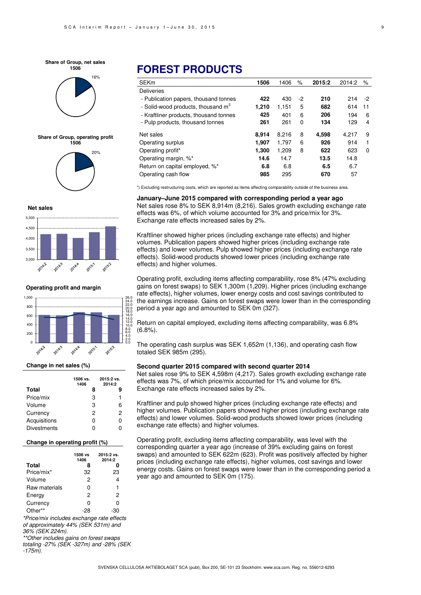



**Share of Group, operating profit 1506**



#### **Net sales**



**Operating profit and margin**



#### **Change in net sales (%)**

|                    | 1506 vs.<br>1406 | 2015:2 vs.<br>2014:2 |
|--------------------|------------------|----------------------|
| Total              | 8                | g                    |
| Price/mix          | 3                | 1                    |
| Volume             | з                | 6                    |
| Currency           | 2                | 2                    |
| Acquisitions       | ი                | ი                    |
| <b>Divestments</b> | ი                |                      |

#### **Change in operating profit (%)**

|               | 1506 vs<br>1406 | 2015:2 vs.<br>2014:2 |
|---------------|-----------------|----------------------|
| <b>Total</b>  | 8               |                      |
| Price/mix*    | 32              | 23                   |
| Volume        | 2               | 4                    |
| Raw materials | 0               | 1                    |
| Energy        | 2               | 2                    |
| Currency      | ი               | n                    |
| Other**       |                 |                      |

\*Price/mix includes exchange rate effects of approximately 44% (SEK 531m) and 36% (SEK 224m).

\*\*Other includes gains on forest swaps totaling -27% (SEK -327m) and -28% (SEK -175m).

# **FOREST PRODUCTS**

| <b>SEKm</b>                                    | 1506  | 1406  | %  | 2015:2 | 2014:2 | %  |
|------------------------------------------------|-------|-------|----|--------|--------|----|
| <b>Deliveries</b>                              |       |       |    |        |        |    |
| - Publication papers, thousand tonnes          | 422   | 430   | -2 | 210    | 214    | -2 |
| - Solid-wood products, thousand m <sup>3</sup> | 1,210 | 1.151 | 5  | 682    | 614    | 11 |
| - Kraftliner products, thousand tonnes         | 425   | 401   | 6  | 206    | 194    | 6  |
| - Pulp products, thousand tonnes               | 261   | 261   | 0  | 134    | 129    | 4  |
| Net sales                                      | 8.914 | 8.216 | 8  | 4,598  | 4.217  | 9  |
| Operating surplus                              | 1,907 | 1.797 | 6  | 926    | 914    | 1  |
| Operating profit*                              | 1.300 | 1.209 | 8  | 622    | 623    | 0  |
| Operating margin, %*                           | 14.6  | 14.7  |    | 13.5   | 14.8   |    |
| Return on capital employed, %*                 | 6.8   | 6.8   |    | 6.5    | 6.7    |    |
| Operating cash flow                            | 985   | 295   |    | 670    | 57     |    |

\*) Excluding restructuring costs, which are reported as items affecting comparability outside of the business area.

**January–June 2015 compared with corresponding period a year ago**  Net sales rose 8% to SEK 8,914m (8,216). Sales growth excluding exchange rate effects was 6%, of which volume accounted for 3% and price/mix for 3%. Exchange rate effects increased sales by 2%.

Kraftliner showed higher prices (including exchange rate effects) and higher volumes. Publication papers showed higher prices (including exchange rate effects) and lower volumes. Pulp showed higher prices (including exchange rate effects). Solid-wood products showed lower prices (including exchange rate effects) and higher volumes.

Operating profit, excluding items affecting comparability, rose 8% (47% excluding gains on forest swaps) to SEK 1,300m (1,209). Higher prices (including exchange rate effects), higher volumes, lower energy costs and cost savings contributed to the earnings increase. Gains on forest swaps were lower than in the corresponding period a year ago and amounted to SEK 0m (327).

Return on capital employed, excluding items affecting comparability, was 6.8% (6.8%).

The operating cash surplus was SEK 1,652m (1,136), and operating cash flow totaled SEK 985m (295).

#### **Second quarter 2015 compared with second quarter 2014**

Net sales rose 9% to SEK 4,598m (4,217). Sales growth excluding exchange rate effects was 7%, of which price/mix accounted for 1% and volume for 6%. Exchange rate effects increased sales by 2%.

Kraftliner and pulp showed higher prices (including exchange rate effects) and higher volumes. Publication papers showed higher prices (including exchange rate effects) and lower volumes. Solid-wood products showed lower prices (including exchange rate effects) and higher volumes.

Operating profit, excluding items affecting comparability, was level with the corresponding quarter a year ago (increase of 39% excluding gains on forest swaps) and amounted to SEK 622m (623). Profit was positively affected by higher prices (including exchange rate effects), higher volumes, cost savings and lower energy costs. Gains on forest swaps were lower than in the corresponding period a year ago and amounted to SEK 0m (175).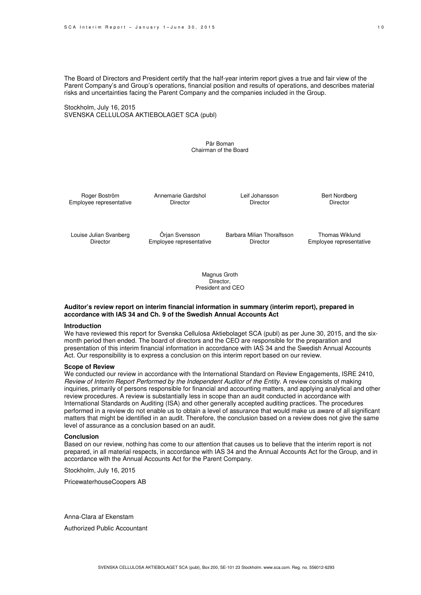The Board of Directors and President certify that the half-year interim report gives a true and fair view of the Parent Company's and Group's operations, financial position and results of operations, and describes material risks and uncertainties facing the Parent Company and the companies included in the Group.

Stockholm, July 16, 2015 SVENSKA CELLULOSA AKTIEBOLAGET SCA (publ)

> Pär Boman Chairman of the Board

Roger Boström Employee representative Annemarie Gardshol Director

Leif Johansson **Director** 

Bert Nordberg Director

Louise Julian Svanberg Director

Örjan Svensson Employee representative Barbara Milian Thoralfsson Director

Thomas Wiklund Employee representative

Magnus Groth Director, President and CEO

#### **Auditor's review report on interim financial information in summary (interim report), prepared in accordance with IAS 34 and Ch. 9 of the Swedish Annual Accounts Act**

#### **Introduction**

We have reviewed this report for Svenska Cellulosa Aktiebolaget SCA (publ) as per June 30, 2015, and the sixmonth period then ended. The board of directors and the CEO are responsible for the preparation and presentation of this interim financial information in accordance with IAS 34 and the Swedish Annual Accounts Act. Our responsibility is to express a conclusion on this interim report based on our review.

#### **Scope of Review**

We conducted our review in accordance with the International Standard on Review Engagements, ISRE 2410, Review of Interim Report Performed by the Independent Auditor of the Entity. A review consists of making inquiries, primarily of persons responsible for financial and accounting matters, and applying analytical and other review procedures. A review is substantially less in scope than an audit conducted in accordance with International Standards on Auditing (ISA) and other generally accepted auditing practices. The procedures performed in a review do not enable us to obtain a level of assurance that would make us aware of all significant matters that might be identified in an audit. Therefore, the conclusion based on a review does not give the same level of assurance as a conclusion based on an audit.

#### **Conclusion**

Based on our review, nothing has come to our attention that causes us to believe that the interim report is not prepared, in all material respects, in accordance with IAS 34 and the Annual Accounts Act for the Group, and in accordance with the Annual Accounts Act for the Parent Company.

Stockholm, July 16, 2015

PricewaterhouseCoopers AB

Anna-Clara af Ekenstam

Authorized Public Accountant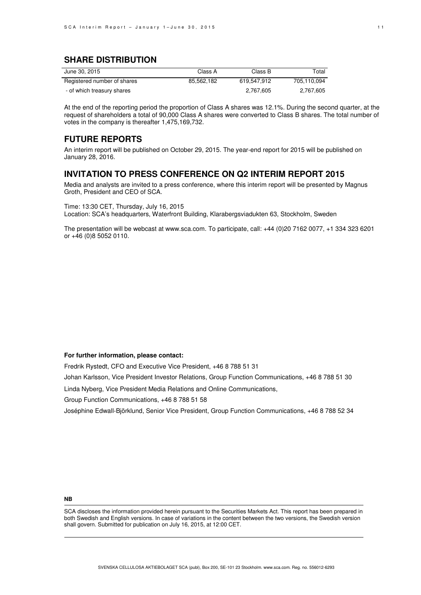### **SHARE DISTRIBUTION**

| June 30, 2015               | Class A    | Class B     | Total       |
|-----------------------------|------------|-------------|-------------|
| Registered number of shares | 85.562.182 | 619.547.912 | 705.110.094 |
| - of which treasury shares  |            | 2,767,605   | 2.767.605   |

At the end of the reporting period the proportion of Class A shares was 12.1%. During the second quarter, at the request of shareholders a total of 90,000 Class A shares were converted to Class B shares. The total number of votes in the company is thereafter 1,475,169,732.

### **FUTURE REPORTS**

An interim report will be published on October 29, 2015. The year-end report for 2015 will be published on January 28, 2016.

### **INVITATION TO PRESS CONFERENCE ON Q2 INTERIM REPORT 2015**

Media and analysts are invited to a press conference, where this interim report will be presented by Magnus Groth, President and CEO of SCA.

Time: 13:30 CET, Thursday, July 16, 2015 Location: SCA's headquarters, Waterfront Building, Klarabergsviadukten 63, Stockholm, Sweden

The presentation will be webcast at www.sca.com. To participate, call: +44 (0)20 7162 0077, +1 334 323 6201 or +46 (0)8 5052 0110.

#### **For further information, please contact:**

Fredrik Rystedt, CFO and Executive Vice President, +46 8 788 51 31

Johan Karlsson, Vice President Investor Relations, Group Function Communications, +46 8 788 51 30

Linda Nyberg, Vice President Media Relations and Online Communications,

Group Function Communications, +46 8 788 51 58

Joséphine Edwall-Björklund, Senior Vice President, Group Function Communications, +46 8 788 52 34

#### **NB**

SCA discloses the information provided herein pursuant to the Securities Markets Act. This report has been prepared in both Swedish and English versions. In case of variations in the content between the two versions, the Swedish version shall govern. Submitted for publication on July 16, 2015, at 12:00 CET.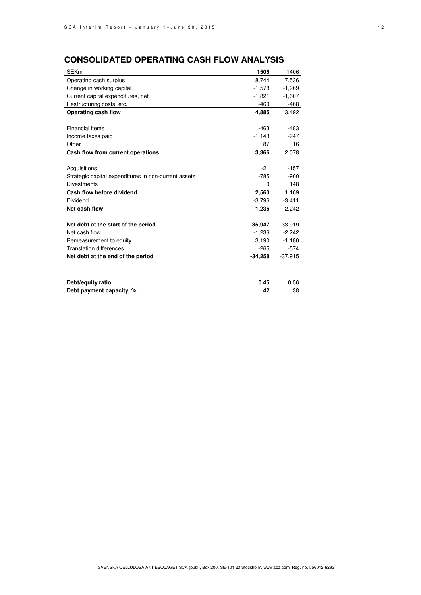# **CONSOLIDATED OPERATING CASH FLOW ANALYSIS**

| <b>SEKm</b>                                          | 1506      | 1406      |
|------------------------------------------------------|-----------|-----------|
| Operating cash surplus                               | 8,744     | 7,536     |
| Change in working capital                            | $-1,578$  | $-1,969$  |
| Current capital expenditures, net                    | $-1.821$  | $-1,607$  |
| Restructuring costs, etc.                            | $-460$    | -468      |
| Operating cash flow                                  | 4,885     | 3,492     |
|                                                      |           |           |
| Financial items                                      | $-463$    | $-483$    |
| Income taxes paid                                    | $-1,143$  | $-947$    |
| Other                                                | 87        | 16        |
| Cash flow from current operations                    | 3,366     | 2,078     |
|                                                      |           |           |
| Acquisitions                                         | $-21$     | $-157$    |
| Strategic capital expenditures in non-current assets | $-785$    | $-900$    |
| <b>Divestments</b>                                   | 0         | 148       |
| Cash flow before dividend                            | 2,560     | 1,169     |
| Dividend                                             | $-3,796$  | $-3,411$  |
| Net cash flow                                        | $-1,236$  | $-2,242$  |
|                                                      |           |           |
| Net debt at the start of the period                  | $-35,947$ | $-33,919$ |
| Net cash flow                                        | $-1,236$  | $-2,242$  |
| Remeasurement to equity                              | 3,190     | $-1,180$  |
| <b>Translation differences</b>                       | $-265$    | $-574$    |
| Net debt at the end of the period                    | $-34,258$ | $-37,915$ |
|                                                      |           |           |
|                                                      |           |           |
| Debt/equity ratio                                    | 0.45      | 0.56      |
| Debt payment capacity, %                             | 42        | 38        |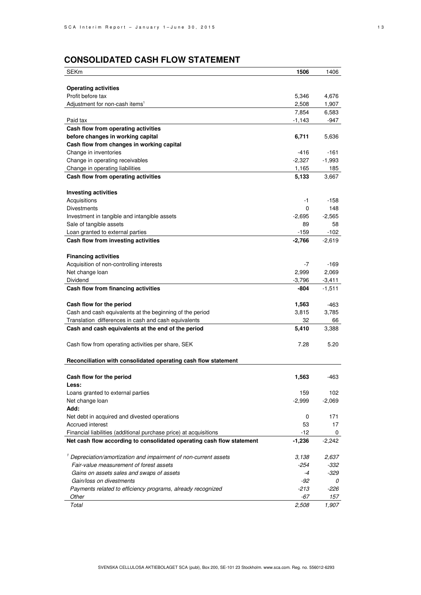# **CONSOLIDATED CASH FLOW STATEMENT**

| <b>SEKm</b>                                                           | 1506          | 1406                 |
|-----------------------------------------------------------------------|---------------|----------------------|
|                                                                       |               |                      |
| <b>Operating activities</b>                                           |               |                      |
| Profit before tax                                                     | 5,346         | 4,676                |
| Adjustment for non-cash items <sup>1</sup>                            | 2,508         | 1,907                |
|                                                                       | 7,854         | 6,583                |
| Paid tax                                                              | $-1,143$      | $-947$               |
| Cash flow from operating activities                                   |               |                      |
| before changes in working capital                                     | 6,711         | 5,636                |
| Cash flow from changes in working capital                             |               |                      |
| Change in inventories                                                 | $-416$        | -161                 |
| Change in operating receivables                                       | $-2,327$      | $-1,993$             |
| Change in operating liabilities                                       | 1,165         | 185                  |
| Cash flow from operating activities                                   | 5,133         | 3,667                |
| <b>Investing activities</b>                                           |               |                      |
| Acquisitions                                                          | -1            | -158                 |
| <b>Divestments</b>                                                    | 0             | 148                  |
| Investment in tangible and intangible assets                          | $-2,695$      | $-2,565$             |
| Sale of tangible assets                                               | 89            | 58                   |
| Loan granted to external parties                                      | $-159$        | $-102$               |
| Cash flow from investing activities                                   | $-2,766$      | $-2,619$             |
|                                                                       |               |                      |
| <b>Financing activities</b>                                           |               | $-169$               |
| Acquisition of non-controlling interests                              | $-7$          |                      |
| Net change loan                                                       | 2.999         | 2,069                |
| Dividend                                                              | $-3,796$      | $-3,411$<br>$-1,511$ |
| Cash flow from financing activities                                   | -804          |                      |
| Cash flow for the period                                              | 1,563         | -463                 |
| Cash and cash equivalents at the beginning of the period              | 3,815         | 3,785                |
| Translation differences in cash and cash equivalents                  | 32            | 66                   |
| Cash and cash equivalents at the end of the period                    | 5,410         | 3,388                |
| Cash flow from operating activities per share, SEK                    | 7.28          | 5.20                 |
|                                                                       |               |                      |
| Reconciliation with consolidated operating cash flow statement        |               |                      |
| Cash flow for the period                                              | 1,563         | -463                 |
| Less:                                                                 |               |                      |
| Loans granted to external parties                                     | 159           | 102                  |
| Net change loan                                                       | $-2,999$      | $-2,069$             |
| Add:                                                                  |               |                      |
| Net debt in acquired and divested operations                          | 0             | 171                  |
| Accrued interest                                                      | 53            | 17                   |
| Financial liabilities (additional purchase price) at acquisitions     | -12           | 0                    |
| Net cash flow according to consolidated operating cash flow statement | $-1,236$      | $-2,242$             |
|                                                                       |               |                      |
| Depreciation/amortization and impairment of non-current assets        | 3,138         | 2,637                |
| Fair-value measurement of forest assets                               | $-254$        | -332                 |
| Gains on assets sales and swaps of assets<br>Gain/loss on divestments | $-4$<br>$-92$ | -329                 |
| Payments related to efficiency programs, already recognized           | $-213$        | 0<br>-226            |
| Other                                                                 | -67           | 157                  |
| Total                                                                 | 2,508         | 1,907                |
|                                                                       |               |                      |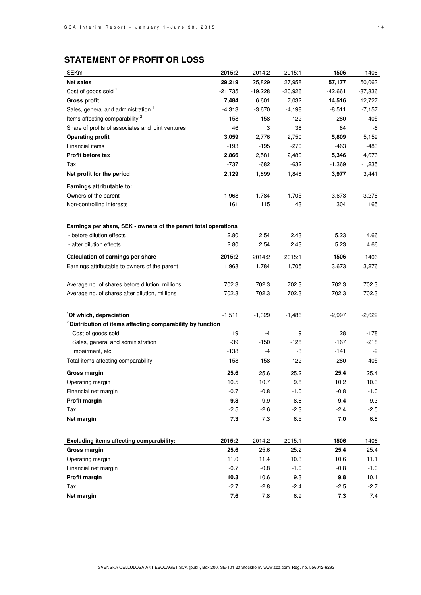# **STATEMENT OF PROFIT OR LOSS**

| <b>SEKm</b>                                                            | 2015:2    | 2014:2    | 2015:1    | 1506     | 1406     |
|------------------------------------------------------------------------|-----------|-----------|-----------|----------|----------|
| <b>Net sales</b>                                                       | 29,219    | 25,829    | 27,958    | 57,177   | 50,063   |
| Cost of goods sold <sup>1</sup>                                        | $-21,735$ | $-19,228$ | $-20,926$ | -42,661  | -37,336  |
| <b>Gross profit</b>                                                    | 7,484     | 6,601     | 7,032     | 14,516   | 12,727   |
| Sales, general and administration 1                                    | $-4,313$  | $-3,670$  | $-4,198$  | $-8,511$ | $-7,157$ |
| Items affecting comparability <sup>2</sup>                             | $-158$    | $-158$    | $-122$    | $-280$   | $-405$   |
| Share of profits of associates and joint ventures                      | 46        | 3         | 38        | 84       | -6       |
| <b>Operating profit</b>                                                | 3,059     | 2,776     | 2,750     | 5,809    | 5,159    |
| Financial items                                                        | $-193$    | $-195$    | $-270$    | $-463$   | -483     |
| Profit before tax                                                      | 2,866     | 2,581     | 2,480     | 5,346    | 4,676    |
| Tax                                                                    | $-737$    | $-682$    | $-632$    | $-1,369$ | $-1,235$ |
| Net profit for the period                                              | 2,129     | 1,899     | 1,848     | 3,977    | 3,441    |
| Earnings attributable to:                                              |           |           |           |          |          |
| Owners of the parent                                                   | 1,968     | 1,784     | 1,705     | 3,673    | 3,276    |
| Non-controlling interests                                              | 161       | 115       | 143       | 304      | 165      |
|                                                                        |           |           |           |          |          |
| Earnings per share, SEK - owners of the parent total operations        |           |           |           |          |          |
| - before dilution effects                                              | 2.80      | 2.54      | 2.43      | 5.23     | 4.66     |
| - after dilution effects                                               | 2.80      | 2.54      | 2.43      | 5.23     | 4.66     |
| Calculation of earnings per share                                      | 2015:2    | 2014:2    | 2015:1    | 1506     | 1406     |
| Earnings attributable to owners of the parent                          | 1,968     | 1,784     | 1,705     | 3,673    | 3,276    |
|                                                                        |           |           |           |          |          |
| Average no. of shares before dilution, millions                        | 702.3     | 702.3     | 702.3     | 702.3    | 702.3    |
| Average no. of shares after dilution, millions                         | 702.3     | 702.3     | 702.3     | 702.3    | 702.3    |
|                                                                        |           |           |           |          |          |
| <sup>1</sup> Of which, depreciation                                    | $-1,511$  | $-1,329$  | $-1,486$  | $-2,997$ | $-2,629$ |
| <sup>2</sup> Distribution of items affecting comparability by function |           |           |           |          |          |
| Cost of goods sold                                                     | 19        | -4        | 9         | 28       | $-178$   |
| Sales, general and administration                                      | $-39$     | $-150$    | $-128$    | $-167$   | $-218$   |
| Impairment, etc.                                                       | $-138$    | -4        | -3        | -141     | -9       |
| Total items affecting comparability                                    | $-158$    | -158      | $-122$    | $-280$   | -405     |
| <b>Gross margin</b>                                                    | 25.6      | 25.6      | 25.2      | 25.4     | 25.4     |
| Operating margin                                                       | 10.5      | 10.7      | 9.8       | 10.2     | 10.3     |
| Financial net margin                                                   | $-0.7$    | -0.8      | $-1.0$    | $-0.8$   | $-1.0$   |
| Profit margin                                                          | 9.8       | 9.9       | 8.8       | 9.4      | 9.3      |
| Tax                                                                    | $-2.5$    | $-2.6$    | -2.3      | $-2.4$   | $-2.5$   |
| Net margin                                                             | 7.3       | 7.3       | 6.5       | 7.0      | 6.8      |
|                                                                        |           |           |           |          |          |
| Excluding items affecting comparability:                               | 2015:2    | 2014:2    | 2015:1    | 1506     | 1406     |
| Gross margin                                                           | 25.6      | 25.6      | 25.2      | 25.4     | 25.4     |
| Operating margin                                                       | 11.0      | 11.4      | 10.3      | 10.6     | 11.1     |
| Financial net margin                                                   | $-0.7$    | $-0.8$    | $-1.0$    | $-0.8$   | -1.0     |
| <b>Profit margin</b>                                                   | 10.3      | 10.6      | 9.3       | 9.8      | 10.1     |
| Tax                                                                    | $-2.7$    | $-2.8$    | -2.4      | $-2.5$   | $-2.7$   |
| Net margin                                                             | 7.6       | 7.8       | 6.9       | 7.3      | 7.4      |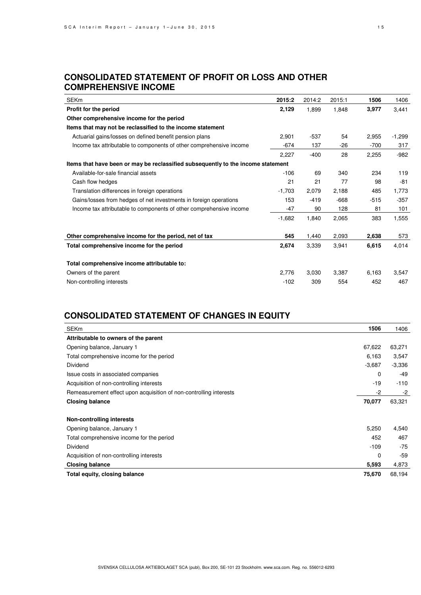## **CONSOLIDATED STATEMENT OF PROFIT OR LOSS AND OTHER COMPREHENSIVE INCOME**

| <b>SEKm</b>                                                                      | 2015:2   | 2014:2 | 2015:1 | 1506   | 1406   |
|----------------------------------------------------------------------------------|----------|--------|--------|--------|--------|
| Profit for the period                                                            | 2,129    | 1,899  | 1,848  | 3,977  | 3,441  |
| Other comprehensive income for the period                                        |          |        |        |        |        |
| Items that may not be reclassified to the income statement                       |          |        |        |        |        |
| Actuarial gains/losses on defined benefit pension plans                          | 2,901    | -537   | 54     | 2,955  | -1,299 |
| Income tax attributable to components of other comprehensive income              | $-674$   | 137    | $-26$  | $-700$ | 317    |
|                                                                                  | 2,227    | $-400$ | 28     | 2,255  | $-982$ |
| Items that have been or may be reclassified subsequently to the income statement |          |        |        |        |        |
| Available-for-sale financial assets                                              | $-106$   | 69     | 340    | 234    | 119    |
| Cash flow hedges                                                                 | 21       | 21     | 77     | 98     | $-81$  |
| Translation differences in foreign operations                                    | $-1,703$ | 2,079  | 2,188  | 485    | 1,773  |
| Gains/losses from hedges of net investments in foreign operations                | 153      | $-419$ | $-668$ | $-515$ | $-357$ |
| Income tax attributable to components of other comprehensive income              | $-47$    | 90     | 128    | 81     | 101    |
|                                                                                  | $-1,682$ | 1,840  | 2,065  | 383    | 1,555  |
| Other comprehensive income for the period, net of tax                            | 545      | 1,440  | 2,093  | 2,638  | 573    |
| Total comprehensive income for the period                                        | 2,674    | 3,339  | 3,941  | 6,615  | 4,014  |
| Total comprehensive income attributable to:                                      |          |        |        |        |        |
| Owners of the parent                                                             | 2,776    | 3,030  | 3,387  | 6,163  | 3,547  |
| Non-controlling interests                                                        | $-102$   | 309    | 554    | 452    | 467    |

# **CONSOLIDATED STATEMENT OF CHANGES IN EQUITY**

| <b>SEKm</b>                                                        | 1506        | 1406     |
|--------------------------------------------------------------------|-------------|----------|
| Attributable to owners of the parent                               |             |          |
| Opening balance, January 1                                         | 67,622      | 63,271   |
| Total comprehensive income for the period                          | 6,163       | 3,547    |
| Dividend                                                           | $-3,687$    | $-3,336$ |
| Issue costs in associated companies                                | $\mathbf 0$ | -49      |
| Acquisition of non-controlling interests                           | $-19$       | $-110$   |
| Remeasurement effect upon acquisition of non-controlling interests | $-2$        | -2       |
| <b>Closing balance</b>                                             | 70,077      | 63,321   |
| <b>Non-controlling interests</b>                                   |             |          |
| Opening balance, January 1                                         | 5,250       | 4,540    |
| Total comprehensive income for the period                          | 452         | 467      |
| Dividend                                                           | $-109$      | $-75$    |
| Acquisition of non-controlling interests                           | $\Omega$    | $-59$    |
| <b>Closing balance</b>                                             | 5,593       | 4,873    |
| Total equity, closing balance                                      | 75,670      | 68,194   |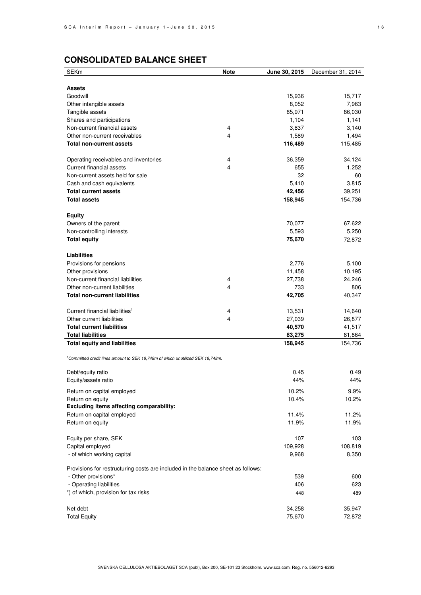# **CONSOLIDATED BALANCE SHEET**

| <b>SEKm</b>                                                                      | <b>Note</b> | June 30, 2015 | December 31, 2014 |
|----------------------------------------------------------------------------------|-------------|---------------|-------------------|
|                                                                                  |             |               |                   |
| Assets                                                                           |             |               |                   |
| Goodwill                                                                         |             | 15,936        | 15,717            |
| Other intangible assets                                                          |             | 8,052         | 7,963             |
| Tangible assets                                                                  |             | 85,971        | 86,030            |
| Shares and participations                                                        |             | 1,104         | 1,141             |
| Non-current financial assets                                                     | 4           | 3,837         | 3,140             |
| Other non-current receivables                                                    | 4           | 1,589         | 1,494             |
| <b>Total non-current assets</b>                                                  |             | 116,489       | 115,485           |
| Operating receivables and inventories                                            | 4           | 36,359        | 34,124            |
| <b>Current financial assets</b>                                                  | 4           | 655           | 1,252             |
| Non-current assets held for sale                                                 |             | 32            | 60                |
| Cash and cash equivalents                                                        |             | 5,410         | 3,815             |
| <b>Total current assets</b>                                                      |             | 42,456        | 39,251            |
| <b>Total assets</b>                                                              |             | 158,945       | 154,736           |
|                                                                                  |             |               |                   |
| <b>Equity</b>                                                                    |             |               |                   |
| Owners of the parent                                                             |             | 70,077        | 67,622            |
| Non-controlling interests                                                        |             | 5,593         | 5,250             |
| <b>Total equity</b>                                                              |             | 75,670        | 72,872            |
| <b>Liabilities</b>                                                               |             |               |                   |
| Provisions for pensions                                                          |             | 2,776         | 5,100             |
| Other provisions                                                                 |             | 11,458        | 10,195            |
| Non-current financial liabilities                                                | 4           | 27,738        | 24,246            |
| Other non-current liabilities                                                    | 4           | 733           | 806               |
| <b>Total non-current liabilities</b>                                             |             | 42,705        | 40,347            |
| Current financial liabilities <sup>1</sup>                                       | 4           | 13,531        | 14,640            |
| Other current liabilities                                                        | 4           | 27,039        | 26,877            |
| <b>Total current liabilities</b>                                                 |             | 40,570        | 41,517            |
| <b>Total liabilities</b>                                                         |             | 83,275        | 81,864            |
| <b>Total equity and liabilities</b>                                              |             | 158,945       | 154,736           |
|                                                                                  |             |               |                   |
| Committed credit lines amount to SEK 18,748m of which unutilized SEK 18,748m.    |             |               |                   |
| Debt/equity ratio                                                                |             | 0.45          | 0.49              |
| Equity/assets ratio                                                              |             | 44%           | 44%               |
| Return on capital employed                                                       |             | 10.2%         | 9.9%              |
| Return on equity                                                                 |             | 10.4%         | 10.2%             |
| <b>Excluding items affecting comparability:</b>                                  |             |               |                   |
| Return on capital employed                                                       |             | 11.4%         | 11.2%             |
| Return on equity                                                                 |             | 11.9%         | 11.9%             |
| Equity per share, SEK                                                            |             | 107           | 103               |
| Capital employed                                                                 |             | 109,928       | 108,819           |
| - of which working capital                                                       |             | 9,968         | 8,350             |
|                                                                                  |             |               |                   |
| Provisions for restructuring costs are included in the balance sheet as follows: |             |               |                   |
| - Other provisions*                                                              |             | 539           | 600               |
| - Operating liabilities                                                          |             | 406           | 623               |
| *) of which, provision for tax risks                                             |             | 448           | 489               |
| Net debt                                                                         |             | 34,258        | 35,947            |
| <b>Total Equity</b>                                                              |             | 75,670        | 72,872            |
|                                                                                  |             |               |                   |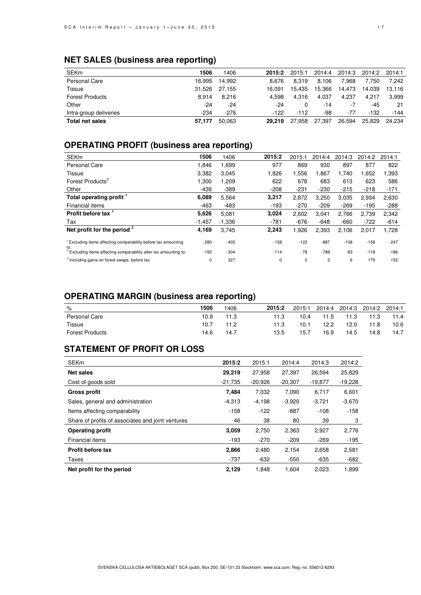# **NET SALES (business area reporting)**

| <b>SEKm</b>            | 1506   | 1406   | 2015:2 | 2015:1 | 2014:4 | 2014:3 | 2014:2 | 2014:1 |
|------------------------|--------|--------|--------|--------|--------|--------|--------|--------|
| Personal Care          | 16.995 | 14.992 | 8.676  | 8.319  | 8.106  | 7.968  | 7.750  | 7.242  |
| Tissue                 | 31.526 | 27.155 | 16.091 | 15.435 | 15.366 | 14.473 | 14.039 | 13.116 |
| <b>Forest Products</b> | 8.914  | 8.216  | 4.598  | 4.316  | 4.037  | 4.237  | 4.217  | 3.999  |
| Other                  | -24    | $-24$  | -24    |        | -14    | -7     | -45    | 21     |
| Intra-group deliveries | $-234$ | $-276$ | $-122$ | $-112$ | -98    | -77    | $-132$ | $-144$ |
| <b>Total net sales</b> | 57,177 | 50.063 | 29.219 | 27.958 | 27,397 | 26.594 | 25.829 | 24.234 |

## **OPERATING PROFIT (business area reporting)**

| <b>SEKm</b>                                                                         | 1506     | 1406     | 2015:2 | 2015:1 | 2014:4 | 2014:3 | 2014:2 | 2014:1 |
|-------------------------------------------------------------------------------------|----------|----------|--------|--------|--------|--------|--------|--------|
| Personal Care                                                                       | 1.846    | 1.699    | 977    | 869    | 930    | 897    | 877    | 822    |
| Tissue                                                                              | 3,382    | 3,045    | 1,826  | 1,556  | 1,867  | 1,740  | 1,652  | 1,393  |
| Forest Products <sup>3</sup>                                                        | 1,300    | 1,209    | 622    | 678    | 683    | 613    | 623    | 586    |
| Other                                                                               | $-439$   | $-389$   | $-208$ | $-231$ | $-230$ | $-215$ | $-218$ | $-171$ |
| Total operating profit 1                                                            | 6,089    | 5,564    | 3,217  | 2,872  | 3,250  | 3,035  | 2,934  | 2,630  |
| Financial items                                                                     | $-463$   | $-483$   | $-193$ | $-270$ | $-209$ | $-269$ | $-195$ | $-288$ |
| Profit before tax 1                                                                 | 5,626    | 5.081    | 3,024  | 2,602  | 3,041  | 2,766  | 2,739  | 2,342  |
| Tax                                                                                 | $-1,457$ | $-1,336$ | $-781$ | $-676$ | $-648$ | $-660$ | $-722$ | $-614$ |
| Net profit for the period $2$                                                       | 4,169    | 3,745    | 2,243  | 1,926  | 2,393  | 2,106  | 2,017  | 1,728  |
| <sup>1</sup> Excluding items affecting comparability before tax amounting           | $-280$   | $-405$   | $-158$ | $-122$ | $-887$ | $-108$ | $-158$ | $-247$ |
| to:<br><sup>2</sup> Excluding items affecting comparability after tax amounting to: | $-192$   | $-304$   | $-114$ | $-78$  | $-789$ | $-83$  | $-118$ | $-186$ |
| <sup>3</sup> Including gains on forest swaps, before tax                            | 0        | 327      | 0      | 0      | 3      | 6      | 175    | 152    |

## **OPERATING MARGIN (business area reporting)**

| $\%$                   | 1506 | 406  | 2015:2 | 2015:1 | 2014:4 | 2014:3 | 2014:2 | 2014:1 |
|------------------------|------|------|--------|--------|--------|--------|--------|--------|
| Personal Care          | 10.9 | 11.3 | 11.3   | 10.4   | 11.5   | 11.3   | 11.3   | 11.4   |
| Tissue                 | 10.7 | 11.2 | 11.3   | 10.1   | 12.2   | 12.0   | 11.8   | 10.6   |
| <b>Forest Products</b> | 14.6 | 14.7 | 13.5   | 15.7   | 16.9   | 14.5   | 14.8   | 14.7   |

## **STATEMENT OF PROFIT OR LOSS**

| <b>SEKm</b>                                       | 2015:2    | 2015:1    | 2014:4    | 2014:3    | 2014:2    |
|---------------------------------------------------|-----------|-----------|-----------|-----------|-----------|
| <b>Net sales</b>                                  | 29,219    | 27.958    | 27.397    | 26.594    | 25,829    |
| Cost of goods sold                                | $-21.735$ | $-20,926$ | $-20,307$ | $-19.877$ | $-19,228$ |
| <b>Gross profit</b>                               | 7,484     | 7,032     | 7,090     | 6,717     | 6,601     |
| Sales, general and administration                 | $-4.313$  | $-4,198$  | $-3.920$  | $-3,721$  | $-3,670$  |
| Items affecting comparability                     | $-158$    | $-122$    | $-887$    | $-108$    | $-158$    |
| Share of profits of associates and joint ventures | 46        | 38        | 80        | 39        | 3         |
| <b>Operating profit</b>                           | 3,059     | 2,750     | 2,363     | 2,927     | 2,776     |
| Financial items                                   | $-193$    | $-270$    | $-209$    | $-269$    | $-195$    |
| <b>Profit before tax</b>                          | 2,866     | 2,480     | 2,154     | 2,658     | 2,581     |
| Taxes                                             | $-737$    | $-632$    | $-550$    | $-635$    | $-682$    |
| Net profit for the period                         | 2.129     | 1.848     | 1.604     | 2,023     | 1,899     |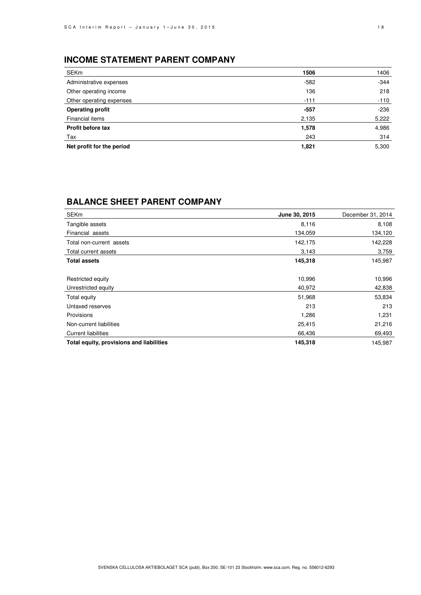# **INCOME STATEMENT PARENT COMPANY**

| SEKm                      | 1506   | 1406   |
|---------------------------|--------|--------|
| Administrative expenses   | $-582$ | $-344$ |
| Other operating income    | 136    | 218    |
| Other operating expenses  | $-111$ | $-110$ |
| <b>Operating profit</b>   | $-557$ | $-236$ |
| Financial items           | 2,135  | 5,222  |
| Profit before tax         | 1,578  | 4,986  |
| Tax                       | 243    | 314    |
| Net profit for the period | 1,821  | 5,300  |

## **BALANCE SHEET PARENT COMPANY**

| <b>SEKm</b>                              | June 30, 2015 | December 31, 2014 |
|------------------------------------------|---------------|-------------------|
| Tangible assets                          | 8,116         | 8,108             |
| Financial assets                         | 134,059       | 134,120           |
| Total non-current assets                 | 142,175       | 142,228           |
| Total current assets                     | 3,143         | 3,759             |
| <b>Total assets</b>                      | 145,318       | 145,987           |
|                                          |               |                   |
| Restricted equity                        | 10,996        | 10,996            |
| Unrestricted equity                      | 40,972        | 42,838            |
| Total equity                             | 51,968        | 53,834            |
| Untaxed reserves                         | 213           | 213               |
| Provisions                               | 1,286         | 1,231             |
| Non-current liabilities                  | 25,415        | 21,216            |
| <b>Current liabilities</b>               | 66,436        | 69,493            |
| Total equity, provisions and liabilities | 145,318       | 145,987           |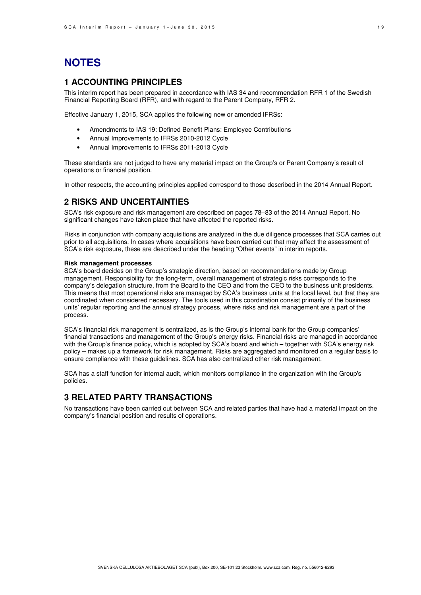# **NOTES**

## **1 ACCOUNTING PRINCIPLES**

This interim report has been prepared in accordance with IAS 34 and recommendation RFR 1 of the Swedish Financial Reporting Board (RFR), and with regard to the Parent Company, RFR 2.

Effective January 1, 2015, SCA applies the following new or amended IFRSs:

- Amendments to IAS 19: Defined Benefit Plans: Employee Contributions
- Annual Improvements to IFRSs 2010-2012 Cycle
- Annual Improvements to IFRSs 2011-2013 Cycle

These standards are not judged to have any material impact on the Group's or Parent Company's result of operations or financial position.

In other respects, the accounting principles applied correspond to those described in the 2014 Annual Report.

### **2 RISKS AND UNCERTAINTIES**

SCA's risk exposure and risk management are described on pages 78–83 of the 2014 Annual Report. No significant changes have taken place that have affected the reported risks.

Risks in conjunction with company acquisitions are analyzed in the due diligence processes that SCA carries out prior to all acquisitions. In cases where acquisitions have been carried out that may affect the assessment of SCA's risk exposure, these are described under the heading "Other events" in interim reports.

#### **Risk management processes**

SCA's board decides on the Group's strategic direction, based on recommendations made by Group management. Responsibility for the long-term, overall management of strategic risks corresponds to the company's delegation structure, from the Board to the CEO and from the CEO to the business unit presidents. This means that most operational risks are managed by SCA's business units at the local level, but that they are coordinated when considered necessary. The tools used in this coordination consist primarily of the business units' regular reporting and the annual strategy process, where risks and risk management are a part of the process.

SCA's financial risk management is centralized, as is the Group's internal bank for the Group companies' financial transactions and management of the Group's energy risks. Financial risks are managed in accordance with the Group's finance policy, which is adopted by SCA's board and which – together with SCA's energy risk policy – makes up a framework for risk management. Risks are aggregated and monitored on a regular basis to ensure compliance with these guidelines. SCA has also centralized other risk management.

SCA has a staff function for internal audit, which monitors compliance in the organization with the Group's policies.

### **3 RELATED PARTY TRANSACTIONS**

No transactions have been carried out between SCA and related parties that have had a material impact on the company's financial position and results of operations.